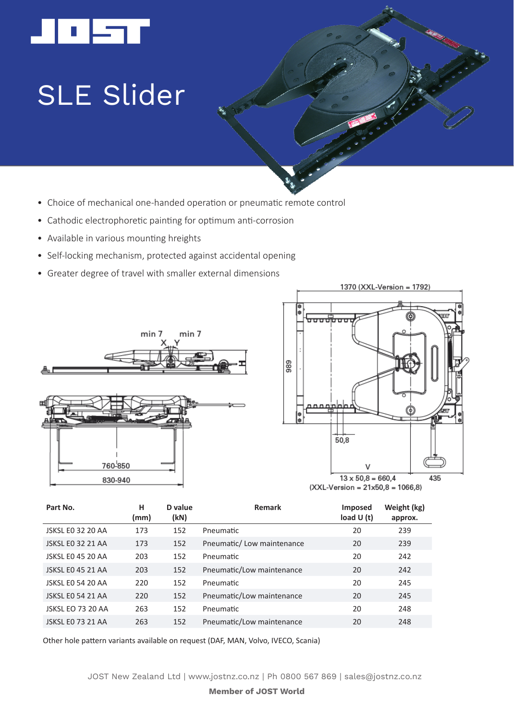

## SLE Slider

- Choice of mechanical one-handed operation or pneumatic remote control
- Cathodic electrophoretic painting for optimum anti-corrosion
- Available in various mounting hreights
- Self-locking mechanism, protected against accidental opening
- Greater degree of travel with smaller external dimensions







| load $U(t)$ | Weight (kg)<br>approx.                                                                                                                |
|-------------|---------------------------------------------------------------------------------------------------------------------------------------|
| 20          | 239                                                                                                                                   |
| 20          | 239                                                                                                                                   |
| 20          | 242                                                                                                                                   |
| 20          | 242                                                                                                                                   |
| 20          | 245                                                                                                                                   |
| 20          | 245                                                                                                                                   |
| 20          | 248                                                                                                                                   |
| 20          | 248                                                                                                                                   |
|             | Remark<br>Imposed<br>Pneumatic/Low maintenance<br>Pneumatic/Low maintenance<br>Pneumatic/Low maintenance<br>Pneumatic/Low maintenance |

Other hole pattern variants available on request (DAF, MAN, Volvo, IVECO, Scania)